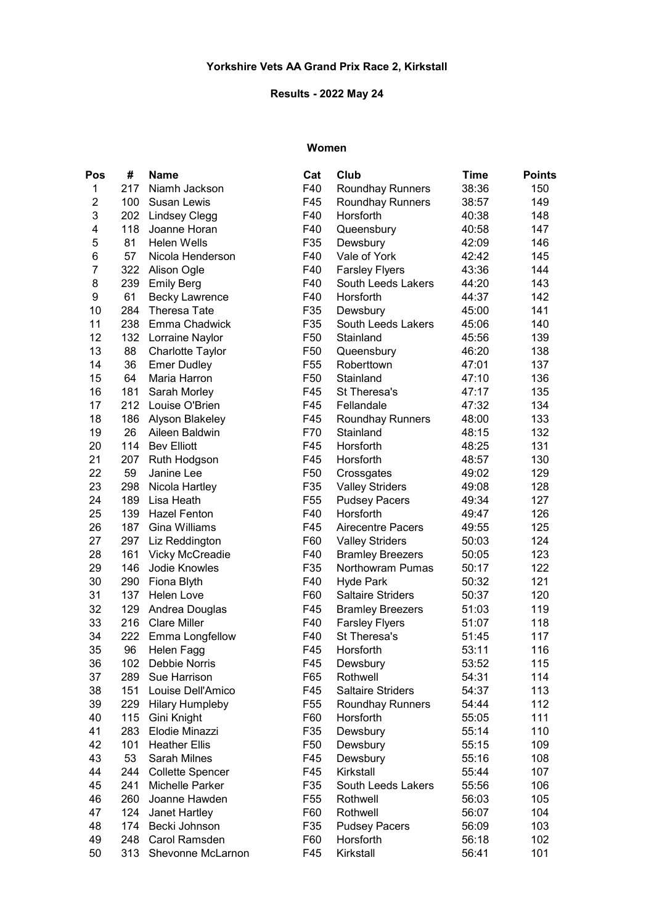## Results - 2022 May 24

### Women

| Pos      | #          | <b>Name</b>                      | Cat                    | Club                           | <b>Time</b> | <b>Points</b> |
|----------|------------|----------------------------------|------------------------|--------------------------------|-------------|---------------|
| 1        | 217        | Niamh Jackson                    | F40                    | <b>Roundhay Runners</b>        | 38:36       | 150           |
| 2        | 100        | Susan Lewis                      | F45                    | <b>Roundhay Runners</b>        | 38:57       | 149           |
| 3        | 202        | <b>Lindsey Clegg</b>             | F40                    | Horsforth                      | 40:38       | 148           |
| 4        | 118        | Joanne Horan                     | F40                    | Queensbury                     | 40:58       | 147           |
| 5        | 81         | <b>Helen Wells</b>               | F35                    | Dewsbury                       | 42:09       | 146           |
| 6        | 57         | Nicola Henderson                 | F40                    | Vale of York                   | 42:42       | 145           |
| 7        | 322        | Alison Ogle                      | F40                    | <b>Farsley Flyers</b>          | 43:36       | 144           |
| 8        | 239        | <b>Emily Berg</b>                | F40                    | South Leeds Lakers             | 44:20       | 143           |
| 9        | 61         | <b>Becky Lawrence</b>            | F40                    | Horsforth                      | 44:37       | 142           |
| 10       | 284        | <b>Theresa Tate</b>              | F35                    | Dewsbury                       | 45:00       | 141           |
| 11       | 238        | Emma Chadwick                    | F35                    | South Leeds Lakers             | 45:06       | 140           |
| 12       | 132        | Lorraine Naylor                  | F50                    | Stainland                      | 45:56       | 139           |
| 13       | 88         | Charlotte Taylor                 | F <sub>50</sub>        | Queensbury                     | 46:20       | 138           |
| 14       | 36         | <b>Emer Dudley</b>               | F <sub>55</sub>        | Roberttown                     | 47:01       | 137           |
| 15       | 64         | Maria Harron                     | F50                    | Stainland                      | 47:10       | 136           |
| 16       | 181        | Sarah Morley                     | F45                    | St Theresa's                   | 47:17       | 135           |
| 17       | 212        | Louise O'Brien                   | F45                    | Fellandale                     | 47:32       | 134           |
| 18       | 186        | Alyson Blakeley                  | F45                    | <b>Roundhay Runners</b>        | 48:00       | 133           |
| 19       | 26         | Aileen Baldwin                   | F70                    | Stainland                      | 48:15       | 132           |
| 20       | 114        | <b>Bev Elliott</b>               | F45                    | Horsforth                      | 48:25       | 131           |
| 21       | 207        | Ruth Hodgson                     | F45                    | Horsforth                      | 48:57       | 130           |
| 22       | 59         | Janine Lee                       | F <sub>50</sub>        | Crossgates                     | 49:02       | 129           |
| 23       | 298        | Nicola Hartley                   | F35                    | <b>Valley Striders</b>         | 49:08       | 128           |
| 24       | 189        | Lisa Heath                       | F <sub>55</sub>        | <b>Pudsey Pacers</b>           | 49:34       | 127           |
| 25       | 139        | <b>Hazel Fenton</b>              | F40                    | Horsforth                      | 49:47       | 126           |
| 26       | 187        | Gina Williams                    | F45                    | <b>Airecentre Pacers</b>       | 49:55       | 125           |
| 27       | 297        | Liz Reddington                   | F60                    | <b>Valley Striders</b>         | 50:03       | 124           |
| 28       | 161        | <b>Vicky McCreadie</b>           | F40                    | <b>Bramley Breezers</b>        | 50:05       | 123           |
| 29       | 146        | Jodie Knowles                    | F35                    | Northowram Pumas               | 50:17       | 122           |
| 30       | 290        | Fiona Blyth                      | F40                    | <b>Hyde Park</b>               | 50:32       | 121           |
| 31       | 137        | <b>Helen Love</b>                | F60                    | <b>Saltaire Striders</b>       | 50:37       | 120           |
| 32       | 129        | Andrea Douglas                   | F45                    | <b>Bramley Breezers</b>        | 51:03       | 119           |
| 33       | 216        | <b>Clare Miller</b>              | F40                    | <b>Farsley Flyers</b>          | 51:07       | 118           |
| 34       | 222        | Emma Longfellow                  | F40                    | St Theresa's                   | 51:45       | 117           |
| 35       | 96         | Helen Fagg                       | F45                    | Horsforth                      | 53:11       | 116           |
| 36       | 102        | Debbie Norris                    | F45                    | Dewsbury                       | 53:52       | 115           |
| 37       | 289        | Sue Harrison                     | F65                    | Rothwell                       | 54:31       | 114           |
| 38       | 151        | Louise Dell'Amico                | F45                    | <b>Saltaire Striders</b>       | 54:37       | 113           |
| 39       | 229        | <b>Hilary Humpleby</b>           | F <sub>55</sub>        | Roundhay Runners               | 54:44       | 112           |
| 40       | 115        | Gini Knight                      | F60                    | Horsforth                      | 55:05       | 111           |
| 41       | 283        | Elodie Minazzi                   | F35                    | Dewsbury                       | 55:14       | 110           |
| 42       | 101        | <b>Heather Ellis</b>             | F <sub>50</sub>        | Dewsbury                       | 55:15       | 109           |
| 43       | 53         | Sarah Milnes                     | F45                    | Dewsbury                       | 55:16       | 108           |
| 44       | 244        | <b>Collette Spencer</b>          | F45                    | Kirkstall                      | 55:44       | 107           |
|          |            |                                  |                        |                                |             |               |
| 45<br>46 | 241<br>260 | Michelle Parker<br>Joanne Hawden | F35<br>F <sub>55</sub> | South Leeds Lakers<br>Rothwell | 55:56       | 106           |
| 47       | 124        |                                  | F60                    | Rothwell                       | 56:03       | 105           |
|          |            | Janet Hartley                    |                        |                                | 56:07       | 104           |
| 48       | 174        | Becki Johnson                    | F35                    | <b>Pudsey Pacers</b>           | 56:09       | 103           |
| 49       | 248        | Carol Ramsden                    | F60                    | Horsforth                      | 56:18       | 102           |
| 50       | 313        | Shevonne McLarnon                | F45                    | Kirkstall                      | 56:41       | 101           |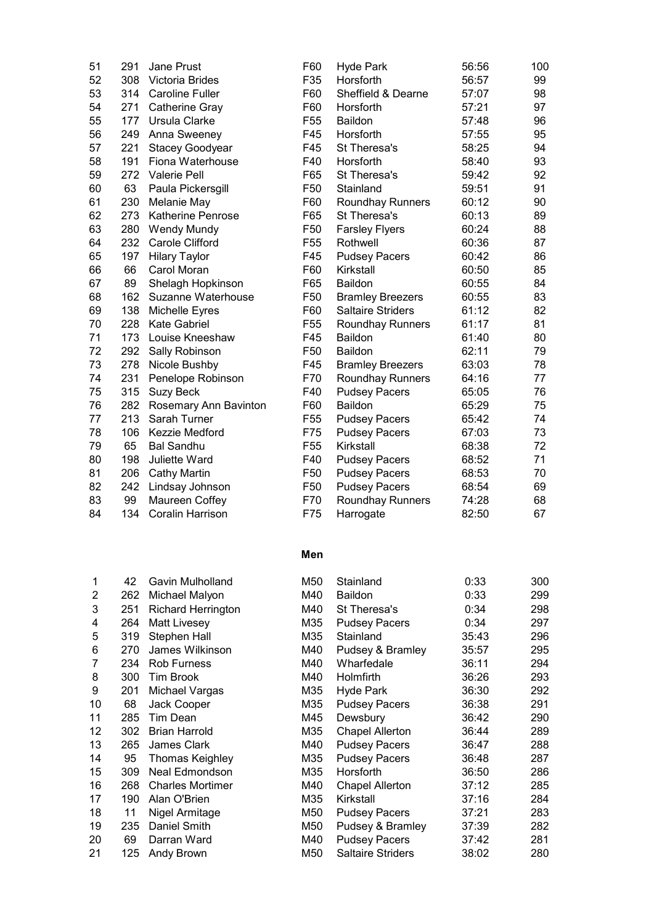| 51 | 291 | <b>Jane Prust</b>        | F60             | <b>Hyde Park</b>         | 56:56 | 100 |
|----|-----|--------------------------|-----------------|--------------------------|-------|-----|
| 52 | 308 | Victoria Brides          | F35             | Horsforth                | 56:57 | 99  |
| 53 | 314 | <b>Caroline Fuller</b>   | F60             | Sheffield & Dearne       | 57:07 | 98  |
| 54 | 271 | Catherine Gray           | F60             | Horsforth                | 57:21 | 97  |
| 55 | 177 | Ursula Clarke            | F <sub>55</sub> | <b>Baildon</b>           | 57:48 | 96  |
| 56 | 249 | Anna Sweeney             | F45             | Horsforth                | 57:55 | 95  |
| 57 | 221 | Stacey Goodyear          | F45             | St Theresa's             | 58:25 | 94  |
| 58 | 191 | Fiona Waterhouse         | F40             | Horsforth                | 58:40 | 93  |
| 59 | 272 | <b>Valerie Pell</b>      | F65             | St Theresa's             | 59:42 | 92  |
| 60 | 63  | Paula Pickersgill        | F <sub>50</sub> | Stainland                | 59:51 | 91  |
| 61 | 230 | Melanie May              | F60             | <b>Roundhay Runners</b>  | 60:12 | 90  |
| 62 | 273 | <b>Katherine Penrose</b> | F65             | St Theresa's             | 60:13 | 89  |
| 63 | 280 | <b>Wendy Mundy</b>       | F <sub>50</sub> | <b>Farsley Flyers</b>    | 60:24 | 88  |
| 64 | 232 | Carole Clifford          | F <sub>55</sub> | Rothwell                 | 60:36 | 87  |
| 65 | 197 | <b>Hilary Taylor</b>     | F45             | <b>Pudsey Pacers</b>     | 60:42 | 86  |
| 66 | 66  | Carol Moran              | F60             | Kirkstall                | 60:50 | 85  |
| 67 | 89  | Shelagh Hopkinson        | F65             | <b>Baildon</b>           | 60:55 | 84  |
| 68 | 162 | Suzanne Waterhouse       | F50             | <b>Bramley Breezers</b>  | 60:55 | 83  |
| 69 | 138 | Michelle Eyres           | F60             | <b>Saltaire Striders</b> | 61:12 | 82  |
| 70 | 228 | <b>Kate Gabriel</b>      | F <sub>55</sub> | <b>Roundhay Runners</b>  | 61:17 | 81  |
| 71 | 173 | Louise Kneeshaw          | F45             | <b>Baildon</b>           | 61:40 | 80  |
| 72 | 292 | Sally Robinson           | F50             | <b>Baildon</b>           | 62:11 | 79  |
| 73 | 278 | Nicole Bushby            | F45             | <b>Bramley Breezers</b>  | 63:03 | 78  |
| 74 | 231 | Penelope Robinson        | F70             | <b>Roundhay Runners</b>  | 64:16 | 77  |
| 75 | 315 | <b>Suzy Beck</b>         | F40             | <b>Pudsey Pacers</b>     | 65:05 | 76  |
| 76 | 282 | Rosemary Ann Bavinton    | F60             | <b>Baildon</b>           | 65:29 | 75  |
| 77 | 213 | Sarah Turner             | F <sub>55</sub> | <b>Pudsey Pacers</b>     | 65:42 | 74  |
| 78 | 106 | Kezzie Medford           | F75             | <b>Pudsey Pacers</b>     | 67:03 | 73  |
| 79 | 65  | <b>Bal Sandhu</b>        | F <sub>55</sub> | Kirkstall                | 68:38 | 72  |
| 80 | 198 | <b>Juliette Ward</b>     | F40             | <b>Pudsey Pacers</b>     | 68:52 | 71  |
| 81 | 206 | <b>Cathy Martin</b>      | F <sub>50</sub> | <b>Pudsey Pacers</b>     | 68:53 | 70  |
| 82 | 242 | Lindsay Johnson          | F <sub>50</sub> | <b>Pudsey Pacers</b>     | 68:54 | 69  |
| 83 | 99  | Maureen Coffey           | F70             | <b>Roundhay Runners</b>  | 74:28 | 68  |
| 84 | 134 | <b>Coralin Harrison</b>  | F75             | Harrogate                | 82:50 | 67  |
|    |     |                          |                 |                          |       |     |

#### Men

| 1  | 42  | Gavin Mulholland          | M50 | Stainland                | 0:33  | 300 |
|----|-----|---------------------------|-----|--------------------------|-------|-----|
| 2  | 262 | Michael Malyon            | M40 | <b>Baildon</b>           | 0:33  | 299 |
| 3  | 251 | <b>Richard Herrington</b> | M40 | St Theresa's             | 0:34  | 298 |
| 4  | 264 | <b>Matt Livesey</b>       | M35 | <b>Pudsey Pacers</b>     | 0:34  | 297 |
| 5  | 319 | Stephen Hall              | M35 | Stainland                | 35:43 | 296 |
| 6  | 270 | James Wilkinson           | M40 | Pudsey & Bramley         | 35:57 | 295 |
| 7  | 234 | <b>Rob Furness</b>        | M40 | Wharfedale               | 36:11 | 294 |
| 8  | 300 | Tim Brook                 | M40 | Holmfirth                | 36:26 | 293 |
| 9  | 201 | Michael Vargas            | M35 | <b>Hyde Park</b>         | 36:30 | 292 |
| 10 | 68  | <b>Jack Cooper</b>        | M35 | <b>Pudsey Pacers</b>     | 36:38 | 291 |
| 11 | 285 | Tim Dean                  | M45 | Dewsbury                 | 36:42 | 290 |
| 12 | 302 | <b>Brian Harrold</b>      | M35 | <b>Chapel Allerton</b>   | 36:44 | 289 |
| 13 | 265 | <b>James Clark</b>        | M40 | <b>Pudsey Pacers</b>     | 36:47 | 288 |
| 14 | 95  | Thomas Keighley           | M35 | <b>Pudsey Pacers</b>     | 36:48 | 287 |
| 15 | 309 | Neal Edmondson            | M35 | Horsforth                | 36:50 | 286 |
| 16 | 268 | <b>Charles Mortimer</b>   | M40 | <b>Chapel Allerton</b>   | 37:12 | 285 |
| 17 | 190 | Alan O'Brien              | M35 | Kirkstall                | 37:16 | 284 |
| 18 | 11  | Nigel Armitage            | M50 | <b>Pudsey Pacers</b>     | 37:21 | 283 |
| 19 | 235 | Daniel Smith              | M50 | Pudsey & Bramley         | 37:39 | 282 |
| 20 | 69  | Darran Ward               | M40 | <b>Pudsey Pacers</b>     | 37:42 | 281 |
| 21 | 125 | Andy Brown                | M50 | <b>Saltaire Striders</b> | 38:02 | 280 |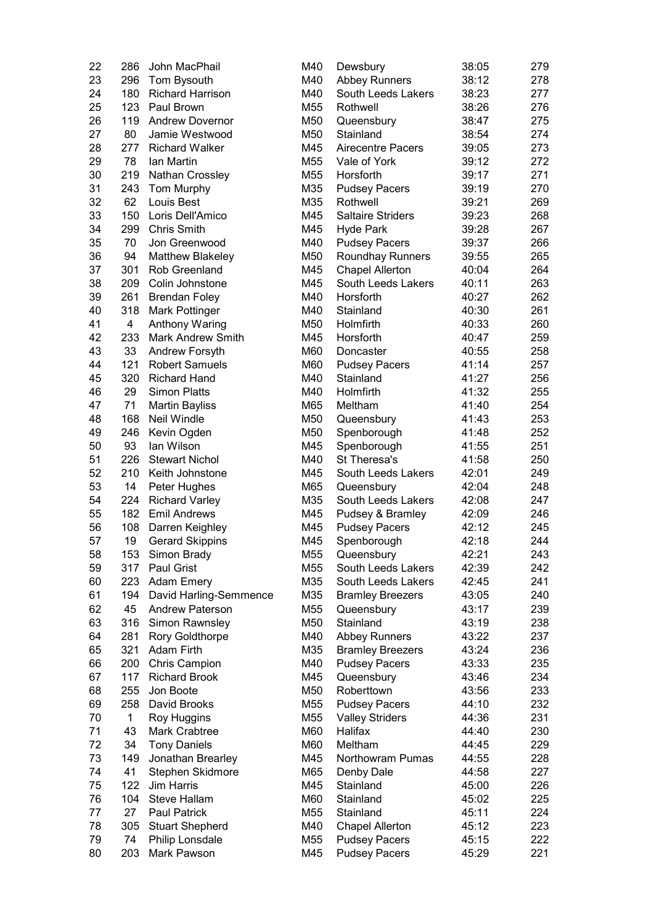| 22 | 286          | John MacPhail            | M40 | Dewsbury                         | 38:05 | 279 |
|----|--------------|--------------------------|-----|----------------------------------|-------|-----|
| 23 | 296          | Tom Bysouth              | M40 | <b>Abbey Runners</b>             | 38:12 | 278 |
| 24 | 180          | <b>Richard Harrison</b>  | M40 | South Leeds Lakers               | 38:23 | 277 |
| 25 | 123          | Paul Brown               | M55 | Rothwell                         | 38:26 | 276 |
| 26 | 119          | <b>Andrew Dovernor</b>   | M50 | Queensbury                       | 38:47 | 275 |
| 27 | 80           | Jamie Westwood           | M50 | Stainland                        | 38:54 | 274 |
| 28 | 277          | <b>Richard Walker</b>    | M45 | <b>Airecentre Pacers</b>         | 39:05 | 273 |
| 29 | 78           | Ian Martin               | M55 | Vale of York                     | 39:12 | 272 |
| 30 | 219          | Nathan Crossley          | M55 | Horsforth                        | 39:17 | 271 |
| 31 | 243          | Tom Murphy               | M35 |                                  | 39:19 | 270 |
| 32 | 62           | Louis Best               | M35 | <b>Pudsey Pacers</b><br>Rothwell | 39:21 | 269 |
|    |              |                          |     |                                  |       |     |
| 33 | 150          | Loris Dell'Amico         | M45 | <b>Saltaire Striders</b>         | 39:23 | 268 |
| 34 | 299          | <b>Chris Smith</b>       | M45 | <b>Hyde Park</b>                 | 39:28 | 267 |
| 35 | 70           | Jon Greenwood            | M40 | <b>Pudsey Pacers</b>             | 39:37 | 266 |
| 36 | 94           | <b>Matthew Blakeley</b>  | M50 | <b>Roundhay Runners</b>          | 39:55 | 265 |
| 37 | 301          | <b>Rob Greenland</b>     | M45 | <b>Chapel Allerton</b>           | 40:04 | 264 |
| 38 | 209          | Colin Johnstone          | M45 | South Leeds Lakers               | 40:11 | 263 |
| 39 | 261          | <b>Brendan Foley</b>     | M40 | Horsforth                        | 40:27 | 262 |
| 40 | 318          | Mark Pottinger           | M40 | Stainland                        | 40:30 | 261 |
| 41 | 4            | Anthony Waring           | M50 | Holmfirth                        | 40:33 | 260 |
| 42 | 233          | <b>Mark Andrew Smith</b> | M45 | Horsforth                        | 40:47 | 259 |
| 43 | 33           | Andrew Forsyth           | M60 | Doncaster                        | 40:55 | 258 |
| 44 | 121          | <b>Robert Samuels</b>    | M60 | <b>Pudsey Pacers</b>             | 41:14 | 257 |
| 45 | 320          | <b>Richard Hand</b>      | M40 | Stainland                        | 41:27 | 256 |
| 46 | 29           | <b>Simon Platts</b>      | M40 | Holmfirth                        | 41:32 | 255 |
| 47 | 71           | <b>Martin Bayliss</b>    | M65 | Meltham                          | 41:40 | 254 |
| 48 | 168          | <b>Neil Windle</b>       | M50 | Queensbury                       | 41:43 | 253 |
| 49 | 246          | Kevin Ogden              | M50 | Spenborough                      | 41:48 | 252 |
| 50 | 93           | lan Wilson               | M45 | Spenborough                      | 41:55 | 251 |
| 51 | 226          | <b>Stewart Nichol</b>    | M40 | St Theresa's                     | 41:58 | 250 |
| 52 | 210          | Keith Johnstone          | M45 | South Leeds Lakers               | 42:01 | 249 |
| 53 | 14           | Peter Hughes             | M65 | Queensbury                       | 42:04 | 248 |
| 54 | 224          | <b>Richard Varley</b>    | M35 | South Leeds Lakers               | 42:08 | 247 |
| 55 | 182          | <b>Emil Andrews</b>      | M45 |                                  | 42:09 | 246 |
| 56 | 108          |                          | M45 | Pudsey & Bramley                 | 42:12 | 245 |
|    |              | Darren Keighley          |     | <b>Pudsey Pacers</b>             |       |     |
| 57 | 19           | <b>Gerard Skippins</b>   | M45 | Spenborough                      | 42:18 | 244 |
| 58 | 153          | Simon Brady              | M55 | Queensbury                       | 42:21 | 243 |
| 59 | 317          | Paul Grist               | M55 | South Leeds Lakers               | 42:39 | 242 |
| 60 | 223          | <b>Adam Emery</b>        | M35 | South Leeds Lakers               | 42:45 | 241 |
| 61 | 194          | David Harling-Semmence   | M35 | <b>Bramley Breezers</b>          | 43:05 | 240 |
| 62 | 45           | <b>Andrew Paterson</b>   | M55 | Queensbury                       | 43:17 | 239 |
| 63 | 316          | Simon Rawnsley           | M50 | Stainland                        | 43:19 | 238 |
| 64 | 281          | <b>Rory Goldthorpe</b>   | M40 | <b>Abbey Runners</b>             | 43:22 | 237 |
| 65 | 321          | <b>Adam Firth</b>        | M35 | <b>Bramley Breezers</b>          | 43:24 | 236 |
| 66 | 200          | <b>Chris Campion</b>     | M40 | <b>Pudsey Pacers</b>             | 43:33 | 235 |
| 67 | 117          | <b>Richard Brook</b>     | M45 | Queensbury                       | 43:46 | 234 |
| 68 | 255          | Jon Boote                | M50 | Roberttown                       | 43:56 | 233 |
| 69 | 258          | David Brooks             | M55 | <b>Pudsey Pacers</b>             | 44:10 | 232 |
| 70 | $\mathbf{1}$ | Roy Huggins              | M55 | <b>Valley Striders</b>           | 44:36 | 231 |
| 71 | 43           | Mark Crabtree            | M60 | Halifax                          | 44:40 | 230 |
| 72 | 34           | <b>Tony Daniels</b>      | M60 | Meltham                          | 44:45 | 229 |
| 73 | 149          | Jonathan Brearley        | M45 | Northowram Pumas                 | 44:55 | 228 |
| 74 | 41           | Stephen Skidmore         | M65 | Denby Dale                       | 44:58 | 227 |
| 75 | 122          | <b>Jim Harris</b>        | M45 | Stainland                        | 45:00 | 226 |
| 76 | 104          | Steve Hallam             | M60 | Stainland                        | 45:02 | 225 |
| 77 | 27           | <b>Paul Patrick</b>      | M55 | Stainland                        | 45:11 | 224 |
| 78 | 305          | <b>Stuart Shepherd</b>   | M40 | <b>Chapel Allerton</b>           | 45:12 | 223 |
| 79 | 74           | Philip Lonsdale          | M55 | <b>Pudsey Pacers</b>             | 45:15 | 222 |
| 80 | 203          | Mark Pawson              | M45 | <b>Pudsey Pacers</b>             | 45:29 | 221 |
|    |              |                          |     |                                  |       |     |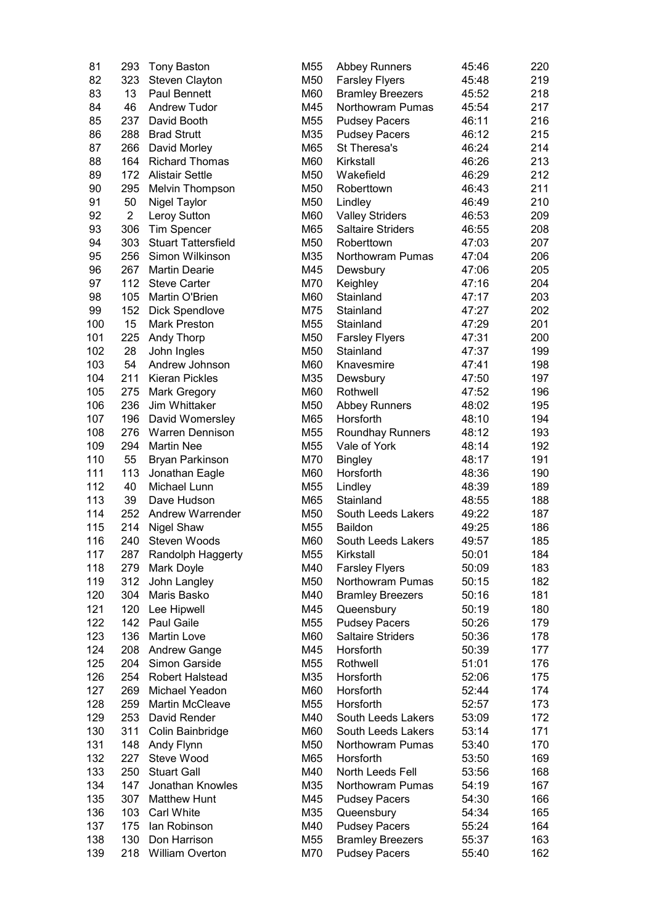| 81  | 293            | <b>Tony Baston</b>         | M55 | <b>Abbey Runners</b>     | 45:46 | 220 |
|-----|----------------|----------------------------|-----|--------------------------|-------|-----|
| 82  | 323            | Steven Clayton             | M50 | <b>Farsley Flyers</b>    | 45:48 | 219 |
| 83  | 13             | <b>Paul Bennett</b>        | M60 | <b>Bramley Breezers</b>  | 45:52 | 218 |
| 84  | 46             | <b>Andrew Tudor</b>        | M45 | Northowram Pumas         | 45:54 | 217 |
| 85  | 237            | David Booth                | M55 | <b>Pudsey Pacers</b>     | 46:11 | 216 |
| 86  | 288            | <b>Brad Strutt</b>         | M35 | <b>Pudsey Pacers</b>     | 46:12 | 215 |
| 87  | 266            | David Morley               | M65 | St Theresa's             | 46:24 | 214 |
| 88  | 164            | <b>Richard Thomas</b>      | M60 | Kirkstall                | 46:26 | 213 |
| 89  | 172            | <b>Alistair Settle</b>     | M50 | Wakefield                | 46:29 | 212 |
| 90  | 295            | <b>Melvin Thompson</b>     | M50 | Roberttown               | 46:43 | 211 |
| 91  | 50             |                            | M50 |                          | 46:49 | 210 |
|     |                | Nigel Taylor               |     | Lindley                  |       |     |
| 92  | $\overline{2}$ | Leroy Sutton               | M60 | <b>Valley Striders</b>   | 46:53 | 209 |
| 93  | 306            | <b>Tim Spencer</b>         | M65 | <b>Saltaire Striders</b> | 46:55 | 208 |
| 94  | 303            | <b>Stuart Tattersfield</b> | M50 | Roberttown               | 47:03 | 207 |
| 95  | 256            | Simon Wilkinson            | M35 | Northowram Pumas         | 47:04 | 206 |
| 96  | 267            | <b>Martin Dearie</b>       | M45 | Dewsbury                 | 47:06 | 205 |
| 97  | 112            | <b>Steve Carter</b>        | M70 | Keighley                 | 47:16 | 204 |
| 98  | 105            | Martin O'Brien             | M60 | Stainland                | 47:17 | 203 |
| 99  | 152            | <b>Dick Spendlove</b>      | M75 | Stainland                | 47:27 | 202 |
| 100 | 15             | <b>Mark Preston</b>        | M55 | Stainland                | 47:29 | 201 |
| 101 | 225            | Andy Thorp                 | M50 | <b>Farsley Flyers</b>    | 47:31 | 200 |
| 102 | 28             | John Ingles                | M50 | Stainland                | 47:37 | 199 |
| 103 | 54             | Andrew Johnson             | M60 | Knavesmire               | 47:41 | 198 |
| 104 | 211            | <b>Kieran Pickles</b>      | M35 | Dewsbury                 | 47:50 | 197 |
| 105 | 275            | Mark Gregory               | M60 | Rothwell                 | 47:52 | 196 |
| 106 | 236            | Jim Whittaker              | M50 | <b>Abbey Runners</b>     | 48:02 | 195 |
| 107 | 196            | David Womersley            | M65 | Horsforth                | 48:10 | 194 |
| 108 | 276            | <b>Warren Dennison</b>     | M55 | Roundhay Runners         | 48:12 | 193 |
| 109 | 294            | <b>Martin Nee</b>          | M55 | Vale of York             | 48:14 | 192 |
| 110 | 55             | <b>Bryan Parkinson</b>     | M70 | <b>Bingley</b>           | 48:17 | 191 |
| 111 | 113            | Jonathan Eagle             | M60 | Horsforth                | 48:36 | 190 |
| 112 | 40             | Michael Lunn               | M55 | Lindley                  | 48:39 | 189 |
| 113 | 39             | Dave Hudson                | M65 | Stainland                | 48:55 | 188 |
| 114 | 252            | <b>Andrew Warrender</b>    | M50 | South Leeds Lakers       | 49:22 | 187 |
| 115 | 214            | <b>Nigel Shaw</b>          | M55 | <b>Baildon</b>           | 49:25 | 186 |
| 116 | 240            | Steven Woods               | M60 | South Leeds Lakers       | 49:57 | 185 |
|     |                |                            |     |                          |       |     |
| 117 | 287            | Randolph Haggerty          | M55 | Kirkstall                | 50:01 | 184 |
| 118 | 279            | Mark Doyle                 | M40 | <b>Farsley Flyers</b>    | 50:09 | 183 |
| 119 | 312            | John Langley               | M50 | Northowram Pumas         | 50:15 | 182 |
| 120 | 304            | Maris Basko                | M40 | <b>Bramley Breezers</b>  | 50:16 | 181 |
| 121 | 120            | Lee Hipwell                | M45 | Queensbury               | 50:19 | 180 |
| 122 | 142            | Paul Gaile                 | M55 | <b>Pudsey Pacers</b>     | 50:26 | 179 |
| 123 | 136            | <b>Martin Love</b>         | M60 | <b>Saltaire Striders</b> | 50:36 | 178 |
| 124 | 208            | <b>Andrew Gange</b>        | M45 | Horsforth                | 50:39 | 177 |
| 125 | 204            | Simon Garside              | M55 | Rothwell                 | 51:01 | 176 |
| 126 | 254            | <b>Robert Halstead</b>     | M35 | Horsforth                | 52:06 | 175 |
| 127 | 269            | Michael Yeadon             | M60 | Horsforth                | 52:44 | 174 |
| 128 | 259            | <b>Martin McCleave</b>     | M55 | Horsforth                | 52:57 | 173 |
| 129 | 253            | David Render               | M40 | South Leeds Lakers       | 53:09 | 172 |
| 130 | 311            | Colin Bainbridge           | M60 | South Leeds Lakers       | 53:14 | 171 |
| 131 | 148            | Andy Flynn                 | M50 | Northowram Pumas         | 53:40 | 170 |
| 132 | 227            | Steve Wood                 | M65 | Horsforth                | 53:50 | 169 |
| 133 | 250            | <b>Stuart Gall</b>         | M40 | North Leeds Fell         | 53:56 | 168 |
| 134 | 147            | Jonathan Knowles           | M35 | Northowram Pumas         | 54:19 | 167 |
| 135 | 307            | <b>Matthew Hunt</b>        | M45 | <b>Pudsey Pacers</b>     | 54:30 | 166 |
| 136 | 103            | <b>Carl White</b>          | M35 | Queensbury               | 54:34 | 165 |
| 137 | 175            | lan Robinson               | M40 | <b>Pudsey Pacers</b>     | 55:24 | 164 |
| 138 | 130            | Don Harrison               | M55 | <b>Bramley Breezers</b>  | 55:37 | 163 |
| 139 | 218            | <b>William Overton</b>     | M70 | <b>Pudsey Pacers</b>     | 55:40 | 162 |
|     |                |                            |     |                          |       |     |